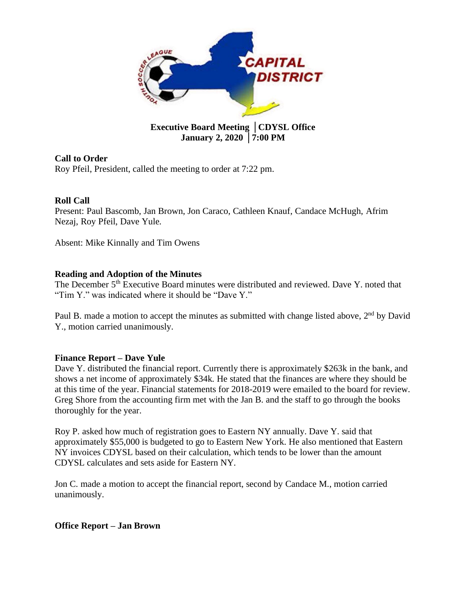

## **January 2, 2020** │**7:00 PM**

## **Call to Order**

Roy Pfeil, President, called the meeting to order at 7:22 pm.

## **Roll Call**

Present: Paul Bascomb, Jan Brown, Jon Caraco, Cathleen Knauf, Candace McHugh, Afrim Nezaj, Roy Pfeil, Dave Yule.

Absent: Mike Kinnally and Tim Owens

## **Reading and Adoption of the Minutes**

The December 5<sup>th</sup> Executive Board minutes were distributed and reviewed. Dave Y. noted that "Tim Y." was indicated where it should be "Dave Y."

Paul B. made a motion to accept the minutes as submitted with change listed above,  $2<sup>nd</sup>$  by David Y., motion carried unanimously.

## **Finance Report – Dave Yule**

Dave Y. distributed the financial report. Currently there is approximately \$263k in the bank, and shows a net income of approximately \$34k. He stated that the finances are where they should be at this time of the year. Financial statements for 2018-2019 were emailed to the board for review. Greg Shore from the accounting firm met with the Jan B. and the staff to go through the books thoroughly for the year.

Roy P. asked how much of registration goes to Eastern NY annually. Dave Y. said that approximately \$55,000 is budgeted to go to Eastern New York. He also mentioned that Eastern NY invoices CDYSL based on their calculation, which tends to be lower than the amount CDYSL calculates and sets aside for Eastern NY.

Jon C. made a motion to accept the financial report, second by Candace M., motion carried unanimously.

## **Office Report – Jan Brown**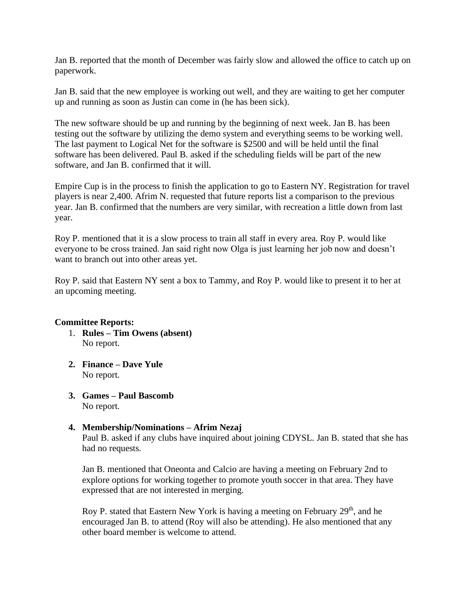Jan B. reported that the month of December was fairly slow and allowed the office to catch up on paperwork.

Jan B. said that the new employee is working out well, and they are waiting to get her computer up and running as soon as Justin can come in (he has been sick).

The new software should be up and running by the beginning of next week. Jan B. has been testing out the software by utilizing the demo system and everything seems to be working well. The last payment to Logical Net for the software is \$2500 and will be held until the final software has been delivered. Paul B. asked if the scheduling fields will be part of the new software, and Jan B. confirmed that it will.

Empire Cup is in the process to finish the application to go to Eastern NY. Registration for travel players is near 2,400. Afrim N. requested that future reports list a comparison to the previous year. Jan B. confirmed that the numbers are very similar, with recreation a little down from last year.

Roy P. mentioned that it is a slow process to train all staff in every area. Roy P. would like everyone to be cross trained. Jan said right now Olga is just learning her job now and doesn't want to branch out into other areas yet.

Roy P. said that Eastern NY sent a box to Tammy, and Roy P. would like to present it to her at an upcoming meeting.

## **Committee Reports:**

- 1. **Rules – Tim Owens (absent)** No report.
- **2. Finance – Dave Yule** No report.
- **3. Games – Paul Bascomb** No report.

## **4. Membership/Nominations – Afrim Nezaj** Paul B. asked if any clubs have inquired about joining CDYSL. Jan B. stated that she has

had no requests.

Jan B. mentioned that Oneonta and Calcio are having a meeting on February 2nd to explore options for working together to promote youth soccer in that area. They have expressed that are not interested in merging.

Roy P. stated that Eastern New York is having a meeting on February 29<sup>th</sup>, and he encouraged Jan B. to attend (Roy will also be attending). He also mentioned that any other board member is welcome to attend.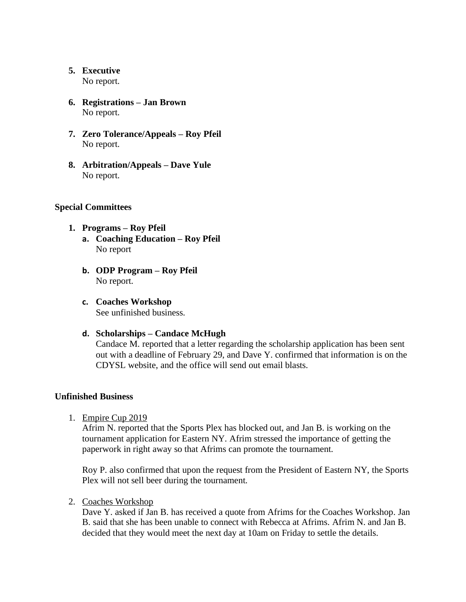# **5. Executive**

No report.

- **6. Registrations – Jan Brown** No report.
- **7. Zero Tolerance/Appeals – Roy Pfeil**  No report.
- **8. Arbitration/Appeals – Dave Yule** No report.

## **Special Committees**

## **1. Programs – Roy Pfeil**

- **a. Coaching Education – Roy Pfeil** No report
- **b. ODP Program – Roy Pfeil** No report.
- **c. Coaches Workshop** See unfinished business.
- **d. Scholarships – Candace McHugh**

Candace M. reported that a letter regarding the scholarship application has been sent out with a deadline of February 29, and Dave Y. confirmed that information is on the CDYSL website, and the office will send out email blasts.

## **Unfinished Business**

1. Empire Cup 2019

Afrim N. reported that the Sports Plex has blocked out, and Jan B. is working on the tournament application for Eastern NY. Afrim stressed the importance of getting the paperwork in right away so that Afrims can promote the tournament.

Roy P. also confirmed that upon the request from the President of Eastern NY, the Sports Plex will not sell beer during the tournament.

2. Coaches Workshop

Dave Y. asked if Jan B. has received a quote from Afrims for the Coaches Workshop. Jan B. said that she has been unable to connect with Rebecca at Afrims. Afrim N. and Jan B. decided that they would meet the next day at 10am on Friday to settle the details.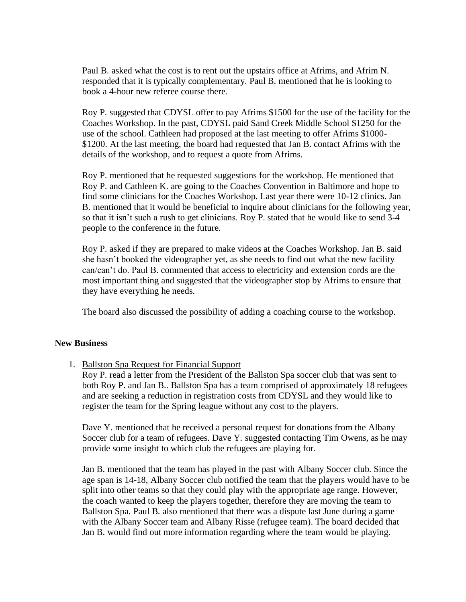Paul B. asked what the cost is to rent out the upstairs office at Afrims, and Afrim N. responded that it is typically complementary. Paul B. mentioned that he is looking to book a 4-hour new referee course there.

Roy P. suggested that CDYSL offer to pay Afrims \$1500 for the use of the facility for the Coaches Workshop. In the past, CDYSL paid Sand Creek Middle School \$1250 for the use of the school. Cathleen had proposed at the last meeting to offer Afrims \$1000- \$1200. At the last meeting, the board had requested that Jan B. contact Afrims with the details of the workshop, and to request a quote from Afrims.

Roy P. mentioned that he requested suggestions for the workshop. He mentioned that Roy P. and Cathleen K. are going to the Coaches Convention in Baltimore and hope to find some clinicians for the Coaches Workshop. Last year there were 10-12 clinics. Jan B. mentioned that it would be beneficial to inquire about clinicians for the following year, so that it isn't such a rush to get clinicians. Roy P. stated that he would like to send 3-4 people to the conference in the future.

Roy P. asked if they are prepared to make videos at the Coaches Workshop. Jan B. said she hasn't booked the videographer yet, as she needs to find out what the new facility can/can't do. Paul B. commented that access to electricity and extension cords are the most important thing and suggested that the videographer stop by Afrims to ensure that they have everything he needs.

The board also discussed the possibility of adding a coaching course to the workshop.

#### **New Business**

1. Ballston Spa Request for Financial Support

Roy P. read a letter from the President of the Ballston Spa soccer club that was sent to both Roy P. and Jan B.. Ballston Spa has a team comprised of approximately 18 refugees and are seeking a reduction in registration costs from CDYSL and they would like to register the team for the Spring league without any cost to the players.

Dave Y. mentioned that he received a personal request for donations from the Albany Soccer club for a team of refugees. Dave Y. suggested contacting Tim Owens, as he may provide some insight to which club the refugees are playing for.

Jan B. mentioned that the team has played in the past with Albany Soccer club. Since the age span is 14-18, Albany Soccer club notified the team that the players would have to be split into other teams so that they could play with the appropriate age range. However, the coach wanted to keep the players together, therefore they are moving the team to Ballston Spa. Paul B. also mentioned that there was a dispute last June during a game with the Albany Soccer team and Albany Risse (refugee team). The board decided that Jan B. would find out more information regarding where the team would be playing.